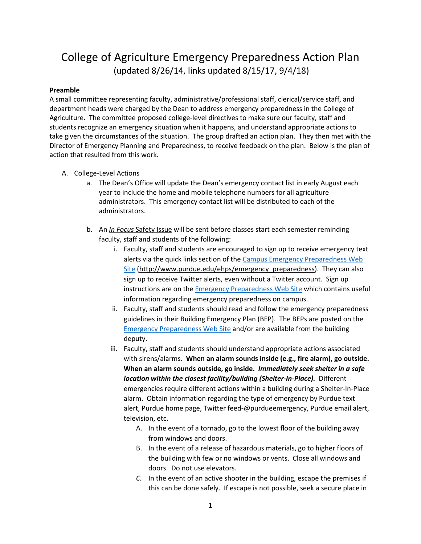## College of Agriculture Emergency Preparedness Action Plan (updated 8/26/14, links updated 8/15/17, 9/4/18)

## **Preamble**

A small committee representing faculty, administrative/professional staff, clerical/service staff, and department heads were charged by the Dean to address emergency preparedness in the College of Agriculture. The committee proposed college-level directives to make sure our faculty, staff and students recognize an emergency situation when it happens, and understand appropriate actions to take given the circumstances of the situation. The group drafted an action plan. They then met with the Director of Emergency Planning and Preparedness, to receive feedback on the plan. Below is the plan of action that resulted from this work.

- A. College-Level Actions
	- a. The Dean's Office will update the Dean's emergency contact list in early August each year to include the home and mobile telephone numbers for all agriculture administrators. This emergency contact list will be distributed to each of the administrators.
	- b. An *In Focus* Safety Issue will be sent before classes start each semester reminding faculty, staff and students of the following:
		- i. Faculty, staff and students are encouraged to sign up to receive emergency text alerts via the quick links section of the [Campus Emergency Preparedness Web](http://www.purdue.edu/ehps/emergency_preparedness/)  [Site](http://www.purdue.edu/ehps/emergency_preparedness/) [\(http://www.purdue.edu/ehps/emergency\\_preparedness\)](http://www.purdue.edu/ehps/emergency_preparedness). They can also sign up to receive Twitter alerts, even without a Twitter account. Sign up instructions are on the **Emergency Preparedness Web Site** which contains useful information regarding emergency preparedness on campus.
		- ii. Faculty, staff and students should read and follow the emergency preparedness guidelines in their Building Emergency Plan (BEP). The BEPs are posted on the [Emergency Preparedness Web Site](http://www.purdue.edu/ehps/emergency_preparedness/) and/or are available from the building deputy.
		- iii. Faculty, staff and students should understand appropriate actions associated with sirens/alarms. **When an alarm sounds inside (e.g., fire alarm), go outside. When an alarm sounds outside, go inside.** *Immediately seek shelter in a safe location within the closest facility/building (Shelter-In-Place).* Different emergencies require different actions within a building during a Shelter-In-Place alarm. Obtain information regarding the type of emergency by Purdue text alert, Purdue home page, Twitter feed-@purdueemergency, Purdue email alert, television, etc.
			- A. In the event of a tornado, go to the lowest floor of the building away from windows and doors.
			- B. In the event of a release of hazardous materials, go to higher floors of the building with few or no windows or vents. Close all windows and doors. Do not use elevators.
			- *C.* In the event of an active shooter in the building, escape the premises if this can be done safely. If escape is not possible, seek a secure place in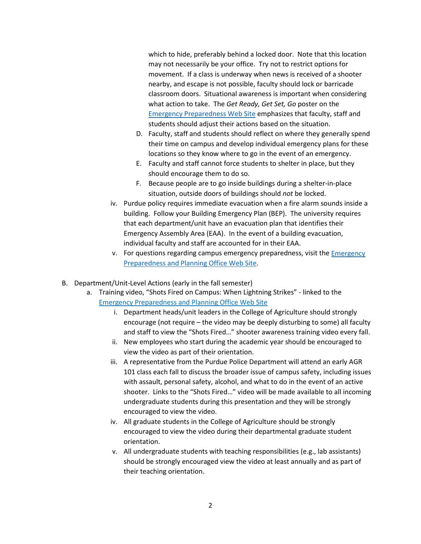which to hide, preferably behind a locked door. Note that this location may not necessarily be your office. Try not to restrict options for movement. If a class is underway when news is received of a shooter nearby, and escape is not possible, faculty should lock or barricade classroom doors. Situational awareness is important when considering what action to take. The *Get Ready, Get Set, Go* poster on the [Emergency Preparedness Web Site](http://www.purdue.edu/ehps/emergency_preparedness/) emphasizes that faculty, staff and students should adjust their actions based on the situation.

- D. Faculty, staff and students should reflect on where they generally spend their time on campus and develop individual emergency plans for these locations so they know where to go in the event of an emergency.
- E. Faculty and staff cannot force students to shelter in place, but they should encourage them to do so.
- F. Because people are to go inside buildings during a shelter-in-place situation, outside doors of buildings should *not* be locked.
- iv. Purdue policy requires immediate evacuation when a fire alarm sounds inside a building. Follow your Building Emergency Plan (BEP). The university requires that each department/unit have an evacuation plan that identifies their Emergency Assembly Area (EAA). In the event of a building evacuation, individual faculty and staff are accounted for in their EAA.
- v. For questions regarding campus emergency preparedness, visit the [Emergency](http://www.purdue.edu/ehps/emergency_preparedness/)  [Preparedness and Planning Office Web Site.](http://www.purdue.edu/ehps/emergency_preparedness/)
- B. Department/Unit-Level Actions (early in the fall semester)
	- a. Training video, "Shots Fired on Campus: When Lightning Strikes" linked to the [Emergency Preparedness and Planning Office Web Site](http://www.purdue.edu/ehps/emergency_preparedness/)
		- i. Department heads/unit leaders in the College of Agriculture should strongly encourage (not require – the video may be deeply disturbing to some) all faculty and staff to view the "Shots Fired…" shooter awareness training video every fall.
		- ii. New employees who start during the academic year should be encouraged to view the video as part of their orientation.
		- iii. A representative from the Purdue Police Department will attend an early AGR 101 class each fall to discuss the broader issue of campus safety, including issues with assault, personal safety, alcohol, and what to do in the event of an active shooter. Links to the "Shots Fired…" video will be made available to all incoming undergraduate students during this presentation and they will be strongly encouraged to view the video.
		- iv. All graduate students in the College of Agriculture should be strongly encouraged to view the video during their departmental graduate student orientation.
		- v. All undergraduate students with teaching responsibilities (e.g., lab assistants) should be strongly encouraged view the video at least annually and as part of their teaching orientation.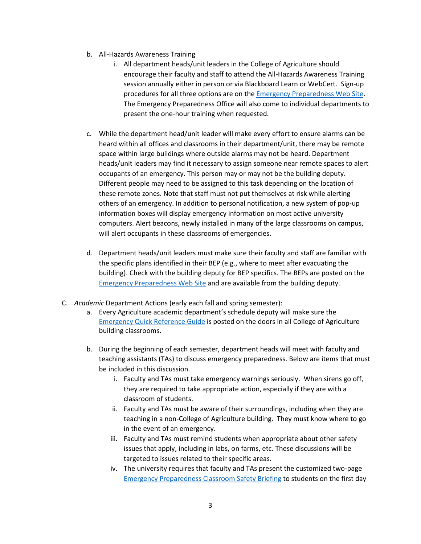- b. All-Hazards Awareness Training
	- i. All department heads/unit leaders in the College of Agriculture should encourage their faculty and staff to attend the All-Hazards Awareness Training session annually either in person or via Blackboard Learn or WebCert. Sign-up procedures for all three options are on the [Emergency Preparedness Web Site.](http://www.purdue.edu/ehps/emergency_preparedness/) The Emergency Preparedness Office will also come to individual departments to present the one-hour training when requested.
- c. While the department head/unit leader will make every effort to ensure alarms can be heard within all offices and classrooms in their department/unit, there may be remote space within large buildings where outside alarms may not be heard. Department heads/unit leaders may find it necessary to assign someone near remote spaces to alert occupants of an emergency. This person may or may not be the building deputy. Different people may need to be assigned to this task depending on the location of these remote zones. Note that staff must not put themselves at risk while alerting others of an emergency. In addition to personal notification, a new system of pop-up information boxes will display emergency information on most active university computers. Alert beacons, newly installed in many of the large classrooms on campus, will alert occupants in these classrooms of emergencies.
- d. Department heads/unit leaders must make sure their faculty and staff are familiar with the specific plans identified in their BEP (e.g., where to meet after evacuating the building). Check with the building deputy for BEP specifics. The BEPs are posted on the [Emergency Preparedness Web Site](http://www.purdue.edu/ehps/emergency_preparedness/) and are available from the building deputy.
- C. *Academic* Department Actions (early each fall and spring semester):
	- a. Every Agriculture academic department's schedule deputy will make sure the [Emergency Quick Reference Guide](https://www.purdue.edu/ehps/emergency_preparedness/docs/6.8.17Quick%20Ref%20Guide-updated-Dec2016.pdf) is posted on the doors in all College of Agriculture building classrooms.
	- b. During the beginning of each semester, department heads will meet with faculty and teaching assistants (TAs) to discuss emergency preparedness. Below are items that must be included in this discussion.
		- i. Faculty and TAs must take emergency warnings seriously. When sirens go off, they are required to take appropriate action, especially if they are with a classroom of students.
		- ii. Faculty and TAs must be aware of their surroundings, including when they are teaching in a non-College of Agriculture building. They must know where to go in the event of an emergency.
		- iii. Faculty and TAs must remind students when appropriate about other safety issues that apply, including in labs, on farms, etc. These discussions will be targeted to issues related to their specific areas.
		- iv. The university requires that faculty and TAs present the customized two-page [Emergency Preparedness Classroom Safety Briefing](https://intranet2.ag.purdue.edu/departments/dean/facultyinfo/Shared%20Documents/Emergency%20Preparedness%20Classroom%20Safety%20Briefing.pdf) to students on the first day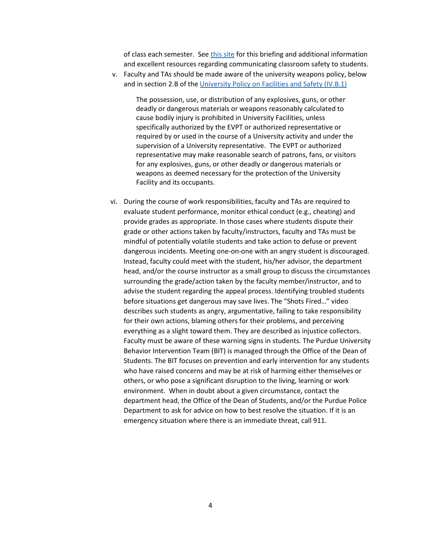of class each semester. See [this site](http://www.purdue.edu/ehps/emergency_preparedness/faculty/index.html) for this briefing and additional information and excellent resources regarding communicating classroom safety to students.

v. Faculty and TAs should be made aware of the university weapons policy, below and in section 2.B of th[e University Policy on Facilities and Safety \(IV.B.1\)](http://www.purdue.edu/policies/facilities-safety/ivb1.html)

The possession, use, or distribution of any explosives, guns, or other deadly or dangerous materials or weapons reasonably calculated to cause bodily injury is prohibited in University Facilities, unless specifically authorized by the EVPT or authorized representative or required by or used in the course of a University activity and under the supervision of a University representative. The EVPT or authorized representative may make reasonable search of patrons, fans, or visitors for any explosives, guns, or other deadly or dangerous materials or weapons as deemed necessary for the protection of the University Facility and its occupants.

vi. During the course of work responsibilities, faculty and TAs are required to evaluate student performance, monitor ethical conduct (e.g., cheating) and provide grades as appropriate. In those cases where students dispute their grade or other actions taken by faculty/instructors, faculty and TAs must be mindful of potentially volatile students and take action to defuse or prevent dangerous incidents. Meeting one-on-one with an angry student is discouraged. Instead, faculty could meet with the student, his/her advisor, the department head, and/or the course instructor as a small group to discuss the circumstances surrounding the grade/action taken by the faculty member/instructor, and to advise the student regarding the appeal process. Identifying troubled students before situations get dangerous may save lives. The "Shots Fired…" video describes such students as angry, argumentative, failing to take responsibility for their own actions, blaming others for their problems, and perceiving everything as a slight toward them. They are described as injustice collectors. Faculty must be aware of these warning signs in students. The Purdue University Behavior Intervention Team (BIT) is managed through the Office of the Dean of Students. The BIT focuses on prevention and early intervention for any students who have raised concerns and may be at risk of harming either themselves or others, or who pose a significant disruption to the living, learning or work environment. When in doubt about a given circumstance, contact the department head, the Office of the Dean of Students, and/or the Purdue Police Department to ask for advice on how to best resolve the situation. If it is an emergency situation where there is an immediate threat, call 911.